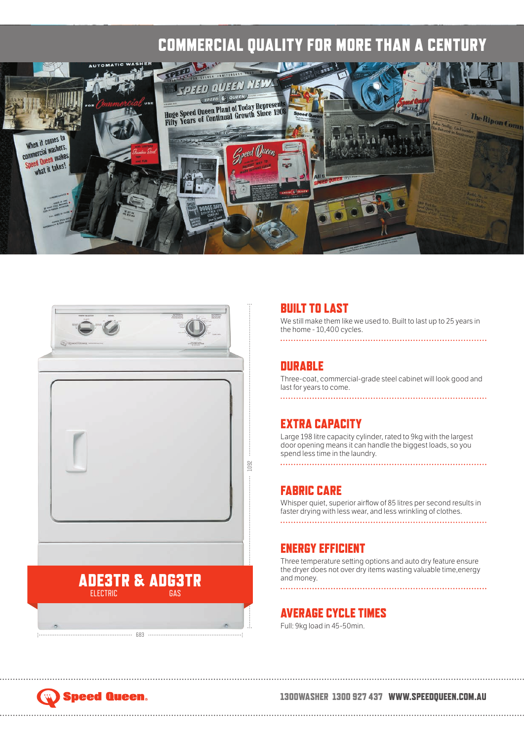## COMMERCIAL QUALITY FOR MORE THAN A CENTURY





683

#### BUILT TO LAST

We still make them like we used to. Built to last up to 25 years in the home - 10,400 cycles.

#### **DURABLE**

Three-coat, commercial-grade steel cabinet will look good and last for years to come.

#### EXTRA CAPACITY

Large 198 litre capacity cylinder, rated to 9kg with the largest door opening means it can handle the biggest loads, so you spend less time in the laundry.

#### FABRIC CARE

Whisper quiet, superior airflow of 85 litres per second results in faster drying with less wear, and less wrinkling of clothes. 

#### ENERGY EFFICIENT

Three temperature setting options and auto dry feature ensure the dryer does not over dry items wasting valuable time,energy and money.

#### AVERAGE CYCLE TIMES

Full: 9kg load in 45-50min.

## **Speed Queen.**

#### 1300WASHER 1300 927 437 WWW.SPEEDQUEEN.COM.AU